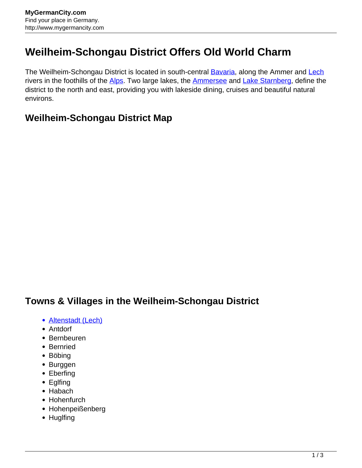## **Weilheim-Schongau District Offers Old World Charm**

The Weilheim-Schongau District is located in south-central **[Bavaria](http://www.mygermancity.com/bavaria)**, along the Ammer and [Lech](http://www.mygermancity.com/lech-river) rivers in the foothills of the [Alps.](http://www.mygermancity.com/german-alps) Two large lakes, the **Ammersee** and [Lake Starnberg,](http://www.mygermancity.com/lake-starnberg) define the district to the north and east, providing you with lakeside dining, cruises and beautiful natural environs.

## **Weilheim-Schongau District Map**

## **Towns & Villages in the Weilheim-Schongau District**

- [Altenstadt \(Lech\)](http://www.mygermancity.com/altenstadt-lech)
- Antdorf
- Bernbeuren
- Bernried
- Böbing
- Burggen
- Eberfing
- Eglfing
- Habach
- Hohenfurch
- Hohenpeißenberg
- Huglfing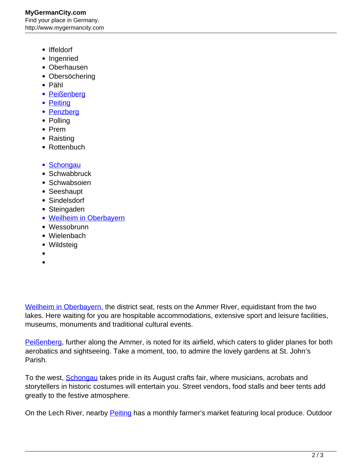- Iffeldorf
- Ingenried
- Oberhausen
- Obersöchering
- Pähl
- [Peißenberg](http://www.mygermancity.com/peissenberg)
- [Peiting](http://www.mygermancity.com/peiting)
- [Penzberg](http://www.mygermancity.com/penzberg)
- Polling
- Prem
- Raisting
- Rottenbuch
- [Schongau](http://www.mygermancity.com/schongau)
- Schwabbruck
- Schwabsoien
- Seeshaupt
- Sindelsdorf
- Steingaden
- [Weilheim in Oberbayern](http://www.mygermancity.com/weilheim)
- Wessobrunn
- Wielenbach
- Wildsteig
- 
- 

[Weilheim in Oberbayern](http://www.mygermancity.com/weilheim), the district seat, rests on the Ammer River, equidistant from the two lakes. Here waiting for you are hospitable accommodations, extensive sport and leisure facilities, museums, monuments and traditional cultural events.

[Peißenberg,](http://www.mygermancity.com/peissenberg) further along the Ammer, is noted for its airfield, which caters to glider planes for both aerobatics and sightseeing. Take a moment, too, to admire the lovely gardens at St. John's Parish.

To the west, **Schongau** takes pride in its August crafts fair, where musicians, acrobats and storytellers in historic costumes will entertain you. Street vendors, food stalls and beer tents add greatly to the festive atmosphere.

On the Lech River, nearby **Peiting** has a monthly farmer's market featuring local produce. Outdoor